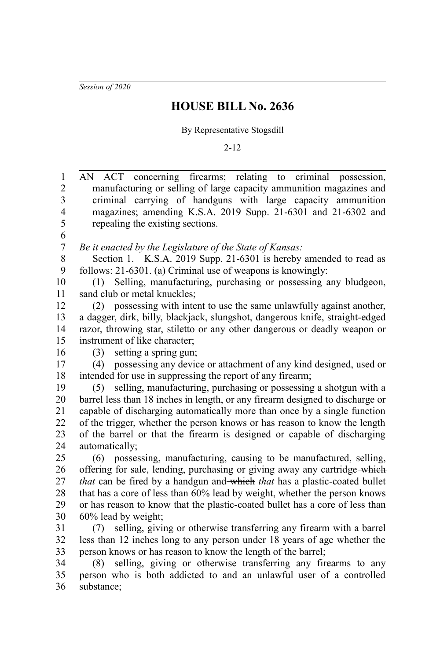*Session of 2020*

## **HOUSE BILL No. 2636**

By Representative Stogsdill

2-12

| 1              | AN ACT concerning firearms; relating to criminal possession,                  |
|----------------|-------------------------------------------------------------------------------|
| $\overline{2}$ | manufacturing or selling of large capacity ammunition magazines and           |
| 3              | criminal carrying of handguns with large capacity ammunition                  |
| $\overline{4}$ | magazines; amending K.S.A. 2019 Supp. 21-6301 and 21-6302 and                 |
| 5              | repealing the existing sections.                                              |
| 6              |                                                                               |
| $\overline{7}$ | Be it enacted by the Legislature of the State of Kansas:                      |
| 8              | Section 1. K.S.A. 2019 Supp. 21-6301 is hereby amended to read as             |
| 9              | follows: 21-6301. (a) Criminal use of weapons is knowingly:                   |
| 10             | (1) Selling, manufacturing, purchasing or possessing any bludgeon,            |
| 11             | sand club or metal knuckles;                                                  |
| 12             | (2) possessing with intent to use the same unlawfully against another,        |
| 13             | a dagger, dirk, billy, blackjack, slungshot, dangerous knife, straight-edged  |
| 14             | razor, throwing star, stiletto or any other dangerous or deadly weapon or     |
| 15             | instrument of like character;                                                 |
| 16             | setting a spring gun;<br>(3)                                                  |
| 17             | possessing any device or attachment of any kind designed, used or<br>(4)      |
| 18             | intended for use in suppressing the report of any firearm;                    |
| 19             | selling, manufacturing, purchasing or possessing a shotgun with a<br>(5)      |
| 20             | barrel less than 18 inches in length, or any firearm designed to discharge or |
| 21             | capable of discharging automatically more than once by a single function      |
| 22             | of the trigger, whether the person knows or has reason to know the length     |
| 23             | of the barrel or that the firearm is designed or capable of discharging       |
| 24             | automatically;                                                                |
| 25             | possessing, manufacturing, causing to be manufactured, selling,<br>(6)        |
| 26             | offering for sale, lending, purchasing or giving away any cartridge-which     |
| 27             | that can be fired by a handgun and-which that has a plastic-coated bullet     |
| 28             | that has a core of less than 60% lead by weight, whether the person knows     |
| 29             | or has reason to know that the plastic-coated bullet has a core of less than  |
| 30             | 60% lead by weight;                                                           |
| 31             | selling, giving or otherwise transferring any firearm with a barrel<br>(7)    |
| 32             | less than 12 inches long to any person under 18 years of age whether the      |
| 33             | person knows or has reason to know the length of the barrel;                  |
| 34             | (8) selling, giving or otherwise transferring any firearms to any             |
| 35             | person who is both addicted to and an unlawful user of a controlled           |
| 36             | substance;                                                                    |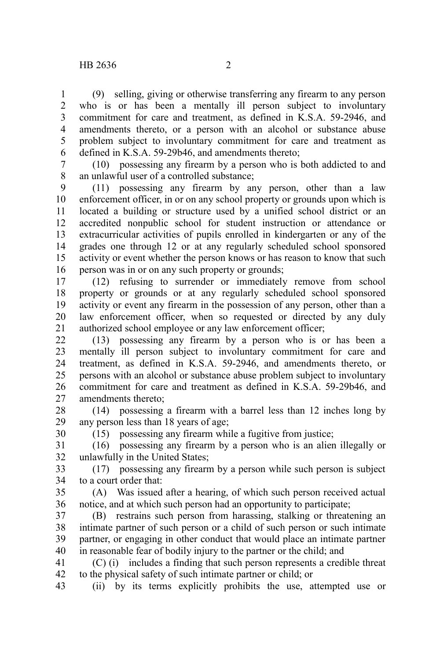30

(9) selling, giving or otherwise transferring any firearm to any person who is or has been a mentally ill person subject to involuntary commitment for care and treatment, as defined in K.S.A. 59-2946, and amendments thereto, or a person with an alcohol or substance abuse problem subject to involuntary commitment for care and treatment as defined in K.S.A. 59-29b46, and amendments thereto; 1 2 3 4 5 6

(10) possessing any firearm by a person who is both addicted to and an unlawful user of a controlled substance; 7 8

(11) possessing any firearm by any person, other than a law enforcement officer, in or on any school property or grounds upon which is located a building or structure used by a unified school district or an accredited nonpublic school for student instruction or attendance or extracurricular activities of pupils enrolled in kindergarten or any of the grades one through 12 or at any regularly scheduled school sponsored activity or event whether the person knows or has reason to know that such person was in or on any such property or grounds; 9 10 11 12 13 14 15 16

(12) refusing to surrender or immediately remove from school property or grounds or at any regularly scheduled school sponsored activity or event any firearm in the possession of any person, other than a law enforcement officer, when so requested or directed by any duly authorized school employee or any law enforcement officer; 17 18 19 20 21

(13) possessing any firearm by a person who is or has been a mentally ill person subject to involuntary commitment for care and treatment, as defined in K.S.A. 59-2946, and amendments thereto, or persons with an alcohol or substance abuse problem subject to involuntary commitment for care and treatment as defined in K.S.A. 59-29b46, and amendments thereto; 22 23 24 25 26 27

(14) possessing a firearm with a barrel less than 12 inches long by any person less than 18 years of age; 28 29

(15) possessing any firearm while a fugitive from justice;

(16) possessing any firearm by a person who is an alien illegally or unlawfully in the United States; 31 32

(17) possessing any firearm by a person while such person is subject to a court order that: 33 34

(A) Was issued after a hearing, of which such person received actual notice, and at which such person had an opportunity to participate; 35 36

(B) restrains such person from harassing, stalking or threatening an intimate partner of such person or a child of such person or such intimate partner, or engaging in other conduct that would place an intimate partner in reasonable fear of bodily injury to the partner or the child; and 37 38 39 40

(C) (i) includes a finding that such person represents a credible threat to the physical safety of such intimate partner or child; or 41 42

(ii) by its terms explicitly prohibits the use, attempted use or 43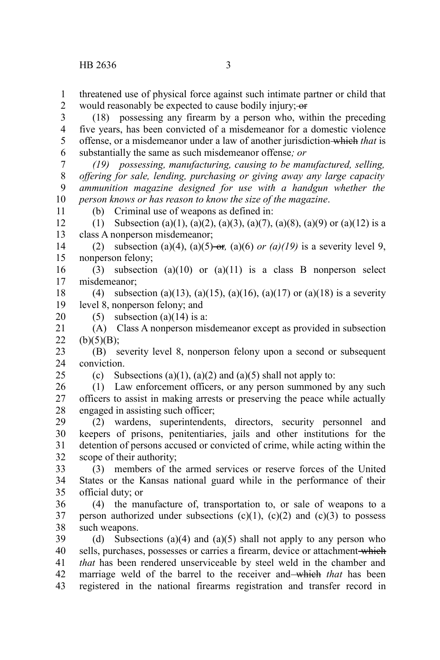11

25

threatened use of physical force against such intimate partner or child that would reasonably be expected to cause bodily injury; or 1 2

(18) possessing any firearm by a person who, within the preceding five years, has been convicted of a misdemeanor for a domestic violence offense, or a misdemeanor under a law of another jurisdiction which *that* is substantially the same as such misdemeanor offense*; or* 3 4 5 6

*(19) possessing, manufacturing, causing to be manufactured, selling, offering for sale, lending, purchasing or giving away any large capacity ammunition magazine designed for use with a handgun whether the person knows or has reason to know the size of the magazine*. 7 8 9 10

(b) Criminal use of weapons as defined in:

(1) Subsection (a)(1), (a)(2), (a)(3), (a)(7), (a)(8), (a)(9) or (a)(12) is a class A nonperson misdemeanor; 12 13

(2) subsection (a)(4), (a)(5) or, (a)(6) or (a)(19) is a severity level 9, nonperson felony; 14 15

(3) subsection (a)(10) or (a)(11) is a class B nonperson select misdemeanor; 16 17

(4) subsection (a)(13), (a)(15), (a)(16), (a)(17) or (a)(18) is a severity level 8, nonperson felony; and 18 19

(5) subsection (a)(14) is a: 20

(A) Class A nonperson misdemeanor except as provided in subsection  $(b)(5)(B);$ 21 22

(B) severity level 8, nonperson felony upon a second or subsequent conviction. 23 24

(c) Subsections (a)(1), (a)(2) and (a)(5) shall not apply to:

(1) Law enforcement officers, or any person summoned by any such officers to assist in making arrests or preserving the peace while actually engaged in assisting such officer; 26 27 28

(2) wardens, superintendents, directors, security personnel and keepers of prisons, penitentiaries, jails and other institutions for the detention of persons accused or convicted of crime, while acting within the scope of their authority; 29 30 31 32

(3) members of the armed services or reserve forces of the United States or the Kansas national guard while in the performance of their official duty; or 33 34 35

(4) the manufacture of, transportation to, or sale of weapons to a person authorized under subsections  $(c)(1)$ ,  $(c)(2)$  and  $(c)(3)$  to possess such weapons. 36 37 38

(d) Subsections (a)(4) and (a)(5) shall not apply to any person who sells, purchases, possesses or carries a firearm, device or attachment which *that* has been rendered unserviceable by steel weld in the chamber and marriage weld of the barrel to the receiver and which *that* has been registered in the national firearms registration and transfer record in 39 40 41 42 43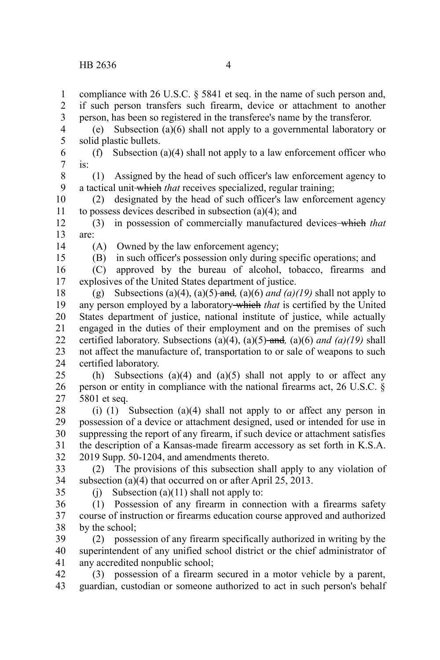compliance with 26 U.S.C. § 5841 et seq. in the name of such person and, if such person transfers such firearm, device or attachment to another person, has been so registered in the transferee's name by the transferor. (e) Subsection (a)(6) shall not apply to a governmental laboratory or solid plastic bullets. (f) Subsection (a)(4) shall not apply to a law enforcement officer who is: (1) Assigned by the head of such officer's law enforcement agency to a tactical unit which *that* receives specialized, regular training; (2) designated by the head of such officer's law enforcement agency to possess devices described in subsection (a)(4); and (3) in possession of commercially manufactured devices which *that* are: (A) Owned by the law enforcement agency; (B) in such officer's possession only during specific operations; and (C) approved by the bureau of alcohol, tobacco, firearms and explosives of the United States department of justice. (g) Subsections (a)(4), (a)(5) and (a)(6) *and (a)(19)* shall not apply to any person employed by a laboratory which *that* is certified by the United States department of justice, national institute of justice, while actually engaged in the duties of their employment and on the premises of such certified laboratory. Subsections (a)(4), (a)(5) and*,* (a)(6) *and (a)(19)* shall not affect the manufacture of, transportation to or sale of weapons to such certified laboratory. (h) Subsections (a)(4) and (a)(5) shall not apply to or affect any person or entity in compliance with the national firearms act, 26 U.S.C. § 5801 et seq. (i) (1) Subsection (a)(4) shall not apply to or affect any person in possession of a device or attachment designed, used or intended for use in suppressing the report of any firearm, if such device or attachment satisfies the description of a Kansas-made firearm accessory as set forth in K.S.A. 2019 Supp. 50-1204, and amendments thereto. (2) The provisions of this subsection shall apply to any violation of subsection (a)(4) that occurred on or after April 25, 2013. (i) Subsection (a)(11) shall not apply to: (1) Possession of any firearm in connection with a firearms safety course of instruction or firearms education course approved and authorized by the school; (2) possession of any firearm specifically authorized in writing by the superintendent of any unified school district or the chief administrator of any accredited nonpublic school; (3) possession of a firearm secured in a motor vehicle by a parent, guardian, custodian or someone authorized to act in such person's behalf 1 2 3 4 5 6 7 8 9 10 11 12 13 14 15 16 17 18 19 20 21 22 23 24 25 26 27 28 29 30 31 32 33 34 35 36 37 38 39 40 41 42 43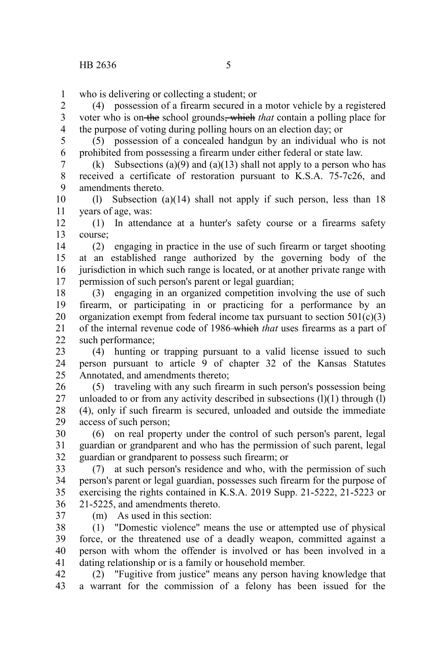1

who is delivering or collecting a student; or

(4) possession of a firearm secured in a motor vehicle by a registered voter who is on the school grounds, which *that* contain a polling place for the purpose of voting during polling hours on an election day; or 2 3 4

(5) possession of a concealed handgun by an individual who is not prohibited from possessing a firearm under either federal or state law. 5 6

(k) Subsections (a)(9) and (a)(13) shall not apply to a person who has received a certificate of restoration pursuant to K.S.A. 75-7c26, and amendments thereto. 7 8 9

(l) Subsection (a)(14) shall not apply if such person, less than 18 years of age, was: 10 11

(1) In attendance at a hunter's safety course or a firearms safety course; 12 13

(2) engaging in practice in the use of such firearm or target shooting at an established range authorized by the governing body of the jurisdiction in which such range is located, or at another private range with permission of such person's parent or legal guardian; 14 15 16 17

(3) engaging in an organized competition involving the use of such firearm, or participating in or practicing for a performance by an organization exempt from federal income tax pursuant to section  $501(c)(3)$ of the internal revenue code of 1986 which *that* uses firearms as a part of such performance; 18 19 20 21  $22$ 

(4) hunting or trapping pursuant to a valid license issued to such person pursuant to article 9 of chapter 32 of the Kansas Statutes Annotated, and amendments thereto; 23 24 25

(5) traveling with any such firearm in such person's possession being unloaded to or from any activity described in subsections  $(l)(1)$  through  $(l)$ (4), only if such firearm is secured, unloaded and outside the immediate access of such person; 26 27 28 29

(6) on real property under the control of such person's parent, legal guardian or grandparent and who has the permission of such parent, legal guardian or grandparent to possess such firearm; or 30 31 32

(7) at such person's residence and who, with the permission of such person's parent or legal guardian, possesses such firearm for the purpose of exercising the rights contained in K.S.A. 2019 Supp. 21-5222, 21-5223 or 21-5225, and amendments thereto. 33 34 35 36

37

(m) As used in this section:

(1) "Domestic violence" means the use or attempted use of physical force, or the threatened use of a deadly weapon, committed against a person with whom the offender is involved or has been involved in a dating relationship or is a family or household member. 38 39 40 41

(2) "Fugitive from justice" means any person having knowledge that a warrant for the commission of a felony has been issued for the 42 43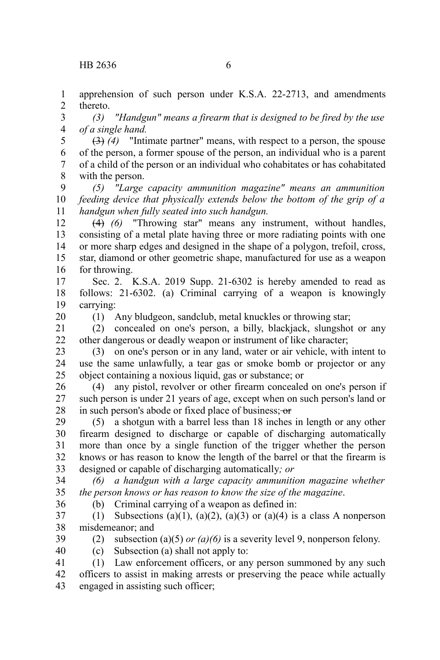apprehension of such person under K.S.A. 22-2713, and amendments thereto. 1 2

*(3) "Handgun" means a firearm that is designed to be fired by the use of a single hand.* 3 4

(3) *(4)* "Intimate partner" means, with respect to a person, the spouse of the person, a former spouse of the person, an individual who is a parent of a child of the person or an individual who cohabitates or has cohabitated with the person. 5 6 7 8

*(5) "Large capacity ammunition magazine" means an ammunition feeding device that physically extends below the bottom of the grip of a handgun when fully seated into such handgun.* 9 10 11

(4) *(6)* "Throwing star" means any instrument, without handles, consisting of a metal plate having three or more radiating points with one or more sharp edges and designed in the shape of a polygon, trefoil, cross, star, diamond or other geometric shape, manufactured for use as a weapon for throwing. 12 13 14 15 16

Sec. 2. K.S.A. 2019 Supp. 21-6302 is hereby amended to read as follows: 21-6302. (a) Criminal carrying of a weapon is knowingly carrying: 17 18 19

(1) Any bludgeon, sandclub, metal knuckles or throwing star;

(2) concealed on one's person, a billy, blackjack, slungshot or any other dangerous or deadly weapon or instrument of like character; 21 22

(3) on one's person or in any land, water or air vehicle, with intent to use the same unlawfully, a tear gas or smoke bomb or projector or any object containing a noxious liquid, gas or substance; or 23 24 25

(4) any pistol, revolver or other firearm concealed on one's person if such person is under 21 years of age, except when on such person's land or in such person's abode or fixed place of business; or 26 27 28

(5) a shotgun with a barrel less than 18 inches in length or any other firearm designed to discharge or capable of discharging automatically more than once by a single function of the trigger whether the person knows or has reason to know the length of the barrel or that the firearm is designed or capable of discharging automatically*; or* 29 30 31 32 33

*(6) a handgun with a large capacity ammunition magazine whether the person knows or has reason to know the size of the magazine*. 34 35 36

(b) Criminal carrying of a weapon as defined in:

(1) Subsections (a)(1), (a)(2), (a)(3) or (a)(4) is a class A nonperson misdemeanor; and 37 38

39

20

(2) subsection (a)(5) *or (a)(6)* is a severity level 9, nonperson felony.

40

(c) Subsection (a) shall not apply to:

(1) Law enforcement officers, or any person summoned by any such officers to assist in making arrests or preserving the peace while actually engaged in assisting such officer; 41 42 43